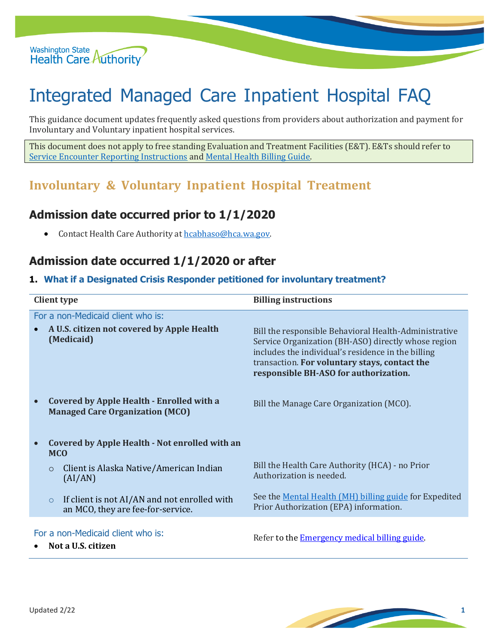

# Integrated Managed Care Inpatient Hospital FAQ

This guidance document updates frequently asked questions from providers about authorization and payment for Involuntary and Voluntary inpatient hospital services.

This document does not apply to free standing Evaluation and Treatment Facilities (E&T). E&Ts should refer to Service Encounter [Reporting Instructions](https://www.hca.wa.gov/billers-providers-partners/behavioral-health-recovery/service-encounter-reporting-instructions-seri) and Mental [Health Billing Guide.](https://www.hca.wa.gov/billers-providers-partners/prior-authorization-claims-and-billing/provider-billing-guides-and-fee-schedules)

## **Involuntary & Voluntary Inpatient Hospital Treatment**

## **Admission date occurred prior to 1/1/2020**

• Contact Health Care Authority at [hcabhaso@hca.wa.gov.](mailto:hcabhaso@hca.wa.gov)

### **Admission date occurred 1/1/2020 or after**

#### **1. What if a Designated Crisis Responder petitioned for involuntary treatment?**

| <b>Client type</b>                                                                                      |                                              | <b>Billing instructions</b>                                                                                                                                                                                                                                  |
|---------------------------------------------------------------------------------------------------------|----------------------------------------------|--------------------------------------------------------------------------------------------------------------------------------------------------------------------------------------------------------------------------------------------------------------|
| For a non-Medicaid client who is:<br>A U.S. citizen not covered by Apple Health<br>(Medicaid)           |                                              | Bill the responsible Behavioral Health-Administrative<br>Service Organization (BH-ASO) directly whose region<br>includes the individual's residence in the billing<br>transaction. For voluntary stays, contact the<br>responsible BH-ASO for authorization. |
| <b>Covered by Apple Health - Enrolled with a</b><br>$\bullet$<br><b>Managed Care Organization (MCO)</b> |                                              | Bill the Manage Care Organization (MCO).                                                                                                                                                                                                                     |
| Covered by Apple Health - Not enrolled with an<br><b>MCO</b>                                            |                                              |                                                                                                                                                                                                                                                              |
| Client is Alaska Native/American Indian<br>$\circ$<br>(AI/AN)                                           |                                              | Bill the Health Care Authority (HCA) - no Prior<br>Authorization is needed.                                                                                                                                                                                  |
| $\circ$<br>an MCO, they are fee-for-service.                                                            | If client is not AI/AN and not enrolled with | See the Mental Health (MH) billing guide for Expedited<br>Prior Authorization (EPA) information.                                                                                                                                                             |
| For a non-Medicaid client who is:<br>Not a U.S. citizen                                                 |                                              | Refer to the <b>Emergency medical billing guide</b> .                                                                                                                                                                                                        |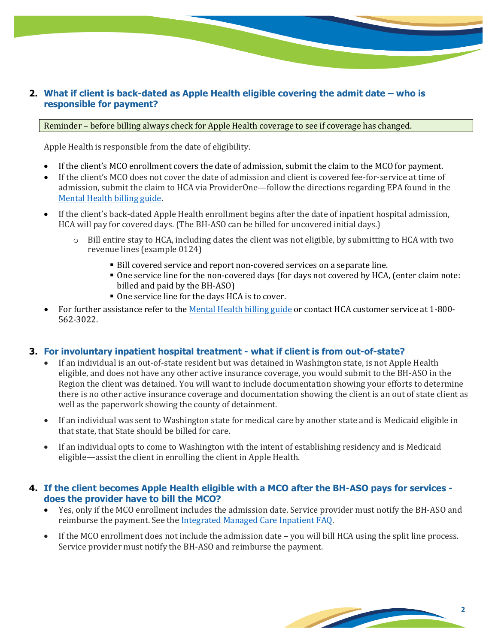#### **2. What if client is back-dated as Apple Health eligible covering the admit date – who is responsible for payment?**

#### Reminder – before billing always check for Apple Health coverage to see if coverage has changed.

Apple Health is responsible from the date of eligibility.

- If the client's MCO enrollment covers the date of admission, submit the claim to the MCO for payment.
- If the client's MCO does not cover the date of admission and client is covered fee-for-service at time of admission, submit the claim to HCA via ProviderOne—follow the directions regarding EPA found in the Mental [Health billing](https://www.hca.wa.gov/billers-providers-partners/prior-authorization-claims-and-billing/provider-billing-guides-and-fee-schedules) guide.
- If the client's back-dated Apple Health enrollment begins after the date of inpatient hospital admission, HCA will pay for covered days. (The BH-ASO can be billed for uncovered initial days.)
	- $\circ$  Bill entire stay to HCA, including dates the client was not eligible, by submitting to HCA with two revenue lines (example 0124)
		- Bill covered service and report non-covered services on a separate line.
		- One service line for the non-covered days (for days not covered by HCA, (enter claim note: billed and paid by the BH-ASO)
		- One service line for the days HCA is to cover.
- For further assistance refer to the [Mental Health billing guide](https://www.hca.wa.gov/billers-providers-partners/prior-authorization-claims-and-billing/provider-billing-guides-and-fee-schedules) or contact HCA customer service at 1-800- 562-3022.

#### **3. For involuntary inpatient hospital treatment - what if client is from out-of-state?**

- If an individual is an out-of-state resident but was detained in Washington state, is not Apple Health eligible, and does not have any other active insurance coverage, you would submit to the BH-ASO in the Region the client was detained. You will want to include documentation showing your efforts to determine there is no other active insurance coverage and documentation showing the client is an out of state client as well as the paperwork showing the county of detainment.
- If an individual was sent to Washington state for medical care by another state and is Medicaid eligible in that state, that State should be billed for care.
- If an individual opts to come to Washington with the intent of establishing residency and is Medicaid eligible—assist the client in enrolling the client in Apple Health.

#### **4. If the client becomes Apple Health eligible with a MCO after the BH-ASO pays for services does the provider have to bill the MCO?**

- Yes, only if the MCO enrollment [includes the admission date. Service prov](http://www.hca.wa.gov/assets/program/imc-inpatient-faqs.pdf)ider must notify the BH-ASO and reimburse the payment. See the Integrated Managed Care Inpatient FAQ.
- If the MCO enrollment does not include the admission date you will bill HCA using the split line process. Service provider must notify the BH-ASO and reimburse the payment.